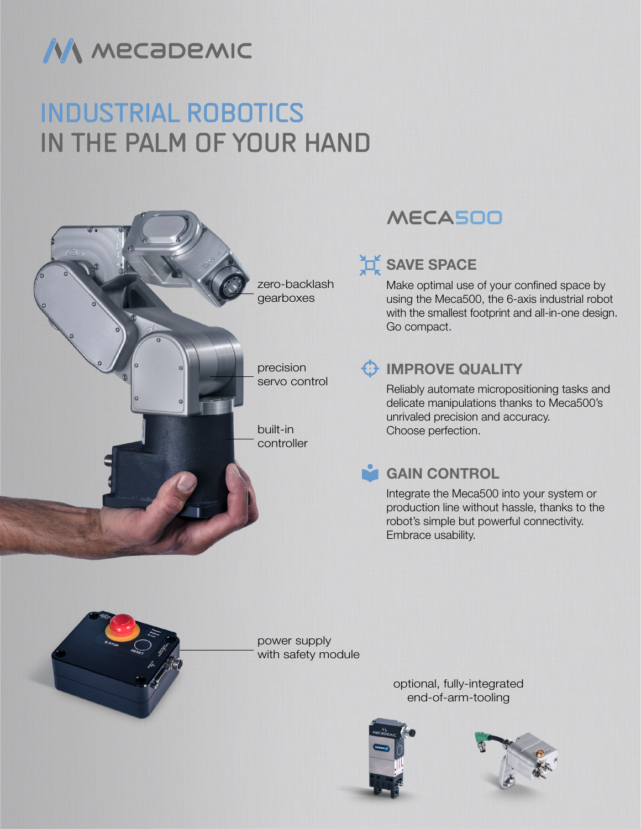

# INDUSTRIAL ROBOTICS IN THE PALM OF YOUR HAND



## MECA500

## **SAVE SPACE**

Make optimal use of your confined space by using the Meca500, the 6-axis industrial robot with the smallest footprint and all-in-one design. Go compact.

#### **B** IMPROVE QUALITY

Reliably automate micropositioning tasks and delicate manipulations thanks to Meca500's unrivaled precision and accuracy. Choose perfection.

### **GAIN CONTROL**

Integrate the Meca500 into your system or production line without hassle, thanks to the robot's simple but powerful connectivity. Embrace usability.



power supply with safety module

> optional, fully-integrated end-of-arm-tooling